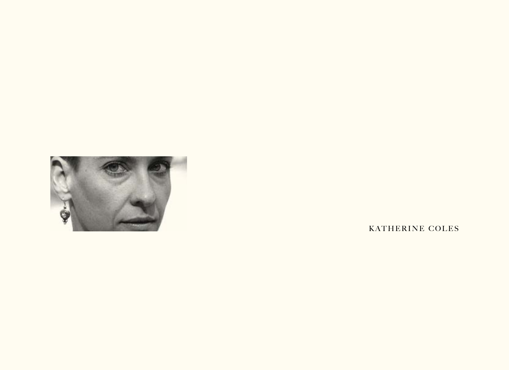

KATHERINE COLES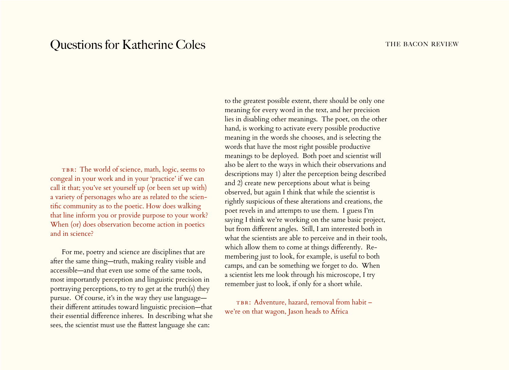## Questions for Katherine Coles THE BACON REVIEW

TBR: The world of science, math, logic, seems to congeal in your work and in your 'practice' if we can call it that; you've set yourself up (or been set up with) a variety of personages who are as related to the scientific community as to the poetic. How does walking that line inform you or provide purpose to your work? When (or) does observation become action in poetics and in science?

For me, poetry and science are disciplines that are after the same thing—truth, making reality visible and accessible—and that even use some of the same tools, most importantly perception and linguistic precision in portraying perceptions, to try to get at the truth(s) they pursue. Of course, it's in the way they use language their different attitudes toward linguistic precision—that their essential difference inheres. In describing what she sees, the scientist must use the flattest language she can:

to the greatest possible extent, there should be only one meaning for every word in the text, and her precision lies in disabling other meanings. The poet, on the other hand, is working to activate every possible productive meaning in the words she chooses, and is selecting the words that have the most right possible productive meanings to be deployed. Both poet and scientist will also be alert to the ways in which their observations and descriptions may 1) alter the perception being described and 2) create new perceptions about what is being observed, but again I think that while the scientist is rightly suspicious of these alterations and creations, the poet revels in and attempts to use them. I guess I'm saying I think we're working on the same basic project, but from different angles. Still, I am interested both in what the scientists are able to perceive and in their tools, which allow them to come at things differently. Remembering just to look, for example, is useful to both camps, and can be something we forget to do. When a scientist lets me look through his microscope, I try remember just to look, if only for a short while.

TBR: Adventure, hazard, removal from habit we're on that wagon, Jason heads to Africa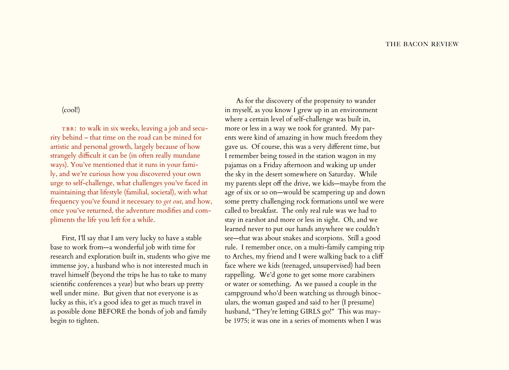## (cool!)

TBR: to walk in six weeks, leaving a job and security behind – that time on the road can be mined for artistic and personal growth, largely because of how strangely difficult it can be (in often really mundane ways). You've mentioned that it runs in your family, and we're curious how you discovered your own urge to self-challenge, what challenges you've faced in maintaining that lifestyle (familial, societal), with what frequency you've found it necessary to *get out*, and how, once you've returned, the adventure modifies and compliments the life you left for a while.

First, I'll say that I am very lucky to have a stable base to work from—a wonderful job with time for research and exploration built in, students who give me immense joy, a husband who is not interested much in travel himself (beyond the trips he has to take to many scientific conferences a year) but who bears up pretty well under mine. But given that not everyone is as lucky as this, it's a good idea to get as much travel in as possible done BEFORE the bonds of job and family begin to tighten.

As for the discovery of the propensity to wander in myself, as you know I grew up in an environment where a certain level of self-challenge was built in, more or less in a way we took for granted. My parents were kind of amazing in how much freedom they gave us. Of course, this was a very different time, but I remember being tossed in the station wagon in my pajamas on a Friday afternoon and waking up under the sky in the desert somewhere on Saturday. While my parents slept off the drive, we kids—maybe from the age of six or so on—would be scampering up and down some pretty challenging rock formations until we were called to breakfast. The only real rule was we had to stay in earshot and more or less in sight. Oh, and we learned never to put our hands anywhere we couldn't see—that was about snakes and scorpions. Still a good rule. I remember once, on a multi-family camping trip to Arches, my friend and I were walking back to a cliff face where we kids (teenaged, unsupervised) had been rappelling. We'd gone to get some more carabiners or water or something. As we passed a couple in the campground who'd been watching us through binoculars, the woman gasped and said to her (I presume) husband, "They're letting GIRLS go!" This was maybe 1975; it was one in a series of moments when I was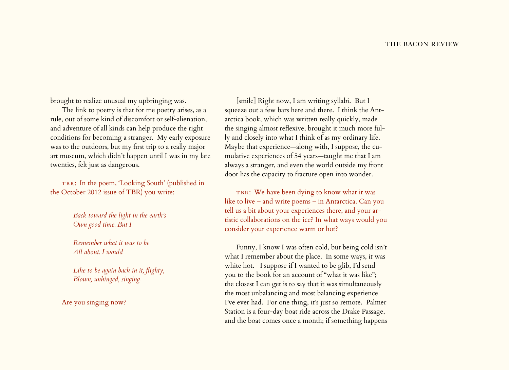brought to realize unusual my upbringing was.

The link to poetry is that for me poetry arises, as a rule, out of some kind of discomfort or self-alienation, and adventure of all kinds can help produce the right conditions for becoming a stranger. My early exposure was to the outdoors, but my first trip to a really major art museum, which didn't happen until I was in my late twenties, felt just as dangerous.

TBR: In the poem, 'Looking South' (published in the October 2012 issue of TBR) you write:

> *Back toward the light in the earth's Own good time. But I*

*Remember what it was to be All about. I would*

*Like to be again back in it, flighty, Blown, unhinged, singing.*

Are you singing now?

[smile] Right now, I am writing syllabi. But I squeeze out a few bars here and there. I think the Antarctica book, which was written really quickly, made the singing almost reflexive, brought it much more fully and closely into what I think of as my ordinary life. Maybe that experience—along with, I suppose, the cumulative experiences of 54 years—taught me that I am always a stranger, and even the world outside my front door has the capacity to fracture open into wonder.

TBR: We have been dying to know what it was like to live – and write poems – in Antarctica. Can you tell us a bit about your experiences there, and your artistic collaborations on the ice? In what ways would you consider your experience warm or hot?

Funny, I know I was often cold, but being cold isn't what I remember about the place. In some ways, it was white hot. I suppose if I wanted to be glib, I'd send you to the book for an account of "what it was like"; the closest I can get is to say that it was simultaneously the most unbalancing and most balancing experience I've ever had. For one thing, it's just so remote. Palmer Station is a four-day boat ride across the Drake Passage, and the boat comes once a month; if something happens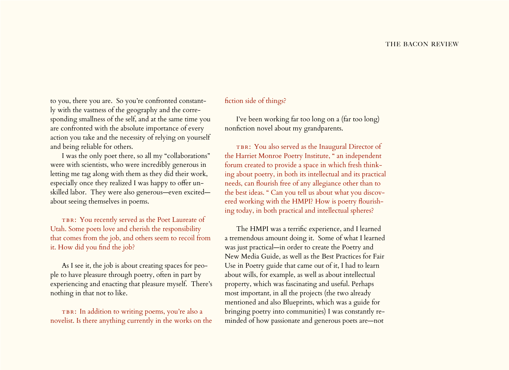to you, there you are. So you're confronted constantly with the vastness of the geography and the corresponding smallness of the self, and at the same time you are confronted with the absolute importance of every action you take and the necessity of relying on yourself and being reliable for others.

I was the only poet there, so all my "collaborations" were with scientists, who were incredibly generous in letting me tag along with them as they did their work, especially once they realized I was happy to offer unskilled labor. They were also generous—even excited about seeing themselves in poems.

TBR: You recently served as the Poet Laureate of Utah. Some poets love and cherish the responsibility that comes from the job, and others seem to recoil from it. How did you find the job?

As I see it, the job is about creating spaces for people to have pleasure through poetry, often in part by experiencing and enacting that pleasure myself. There's nothing in that not to like.

TBR: In addition to writing poems, you're also a novelist. Is there anything currently in the works on the

## fiction side of things?

I've been working far too long on a (far too long) nonfiction novel about my grandparents.

TBR: You also served as the Inaugural Director of the Harriet Monroe Poetry Institute, " an independent forum created to provide a space in which fresh thinking about poetry, in both its intellectual and its practical needs, can flourish free of any allegiance other than to the best ideas. " Can you tell us about what you discovered working with the HMPI? How is poetry flourishing today, in both practical and intellectual spheres?

The HMPI was a terrific experience, and I learned a tremendous amount doing it. Some of what I learned was just practical—in order to create the Poetry and New Media Guide, as well as the Best Practices for Fair Use in Poetry guide that came out of it, I had to learn about wills, for example, as well as about intellectual property, which was fascinating and useful. Perhaps most important, in all the projects (the two already mentioned and also Blueprints, which was a guide for bringing poetry into communities) I was constantly reminded of how passionate and generous poets are—not